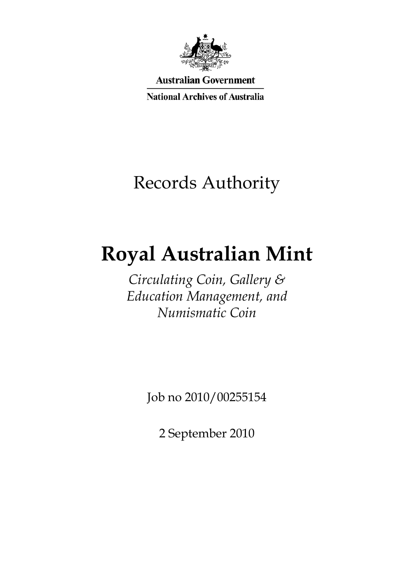

**Australian Government** 

**National Archives of Australia** 

# Records Authority

# **Royal Australian Mint**

*Circulating Coin, Gallery & Education Management, and Numismatic Coin* 

Job no 2010/00255154

2 September 2010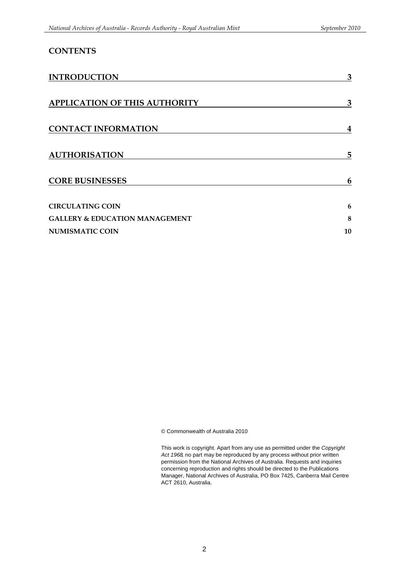| <b>CONTENTS</b>                           |    |
|-------------------------------------------|----|
| <b>INTRODUCTION</b>                       | 3  |
| <b>APPLICATION OF THIS AUTHORITY</b>      | 3  |
| <b>CONTACT INFORMATION</b>                | 4  |
| <b>AUTHORISATION</b>                      | 5  |
| <b>CORE BUSINESSES</b>                    | 6  |
| <b>CIRCULATING COIN</b>                   | 6  |
| <b>GALLERY &amp; EDUCATION MANAGEMENT</b> | 8  |
| <b>NUMISMATIC COIN</b>                    | 10 |

© Commonwealth of Australia 2010

This work is copyright. Apart from any use as permitted under the *Copyright Act 1968,* no part may be reproduced by any process without prior written permission from the National Archives of Australia. Requests and inquiries concerning reproduction and rights should be directed to the Publications Manager, National Archives of Australia, PO Box 7425, Canberra Mail Centre ACT 2610, Australia.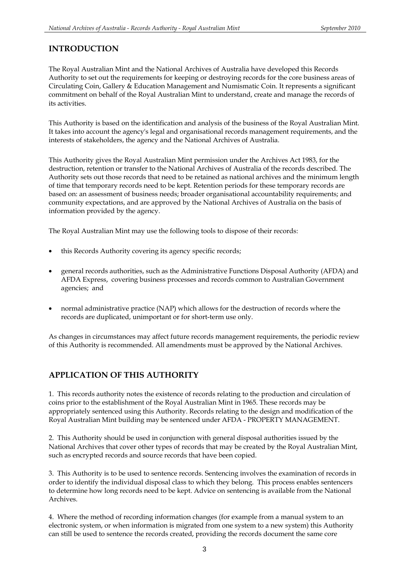### **INTRODUCTION**

The Royal Australian Mint and the National Archives of Australia have developed this Records Authority to set out the requirements for keeping or destroying records for the core business areas of Circulating Coin, Gallery & Education Management and Numismatic Coin. It represents a significant commitment on behalf of the Royal Australian Mint to understand, create and manage the records of its activities.

This Authority is based on the identification and analysis of the business of the Royal Australian Mint. It takes into account the agency's legal and organisational records management requirements, and the interests of stakeholders, the agency and the National Archives of Australia.

This Authority gives the Royal Australian Mint permission under the Archives Act 1983, for the destruction, retention or transfer to the National Archives of Australia of the records described. The Authority sets out those records that need to be retained as national archives and the minimum length of time that temporary records need to be kept. Retention periods for these temporary records are based on: an assessment of business needs; broader organisational accountability requirements; and community expectations, and are approved by the National Archives of Australia on the basis of information provided by the agency.

The Royal Australian Mint may use the following tools to dispose of their records:

- this Records Authority covering its agency specific records;
- general records authorities, such as the Administrative Functions Disposal Authority (AFDA) and AFDA Express, covering business processes and records common to Australian Government agencies; and
- normal administrative practice (NAP) which allows for the destruction of records where the records are duplicated, unimportant or for short-term use only.

As changes in circumstances may affect future records management requirements, the periodic review of this Authority is recommended. All amendments must be approved by the National Archives.

### **APPLICATION OF THIS AUTHORITY**

1. This records authority notes the existence of records relating to the production and circulation of coins prior to the establishment of the Royal Australian Mint in 1965. These records may be appropriately sentenced using this Authority. Records relating to the design and modification of the Royal Australian Mint building may be sentenced under AFDA - PROPERTY MANAGEMENT.

2. This Authority should be used in conjunction with general disposal authorities issued by the National Archives that cover other types of records that may be created by the Royal Australian Mint, such as encrypted records and source records that have been copied.

3. This Authority is to be used to sentence records. Sentencing involves the examination of records in order to identify the individual disposal class to which they belong. This process enables sentencers to determine how long records need to be kept. Advice on sentencing is available from the National Archives.

4. Where the method of recording information changes (for example from a manual system to an electronic system, or when information is migrated from one system to a new system) this Authority can still be used to sentence the records created, providing the records document the same core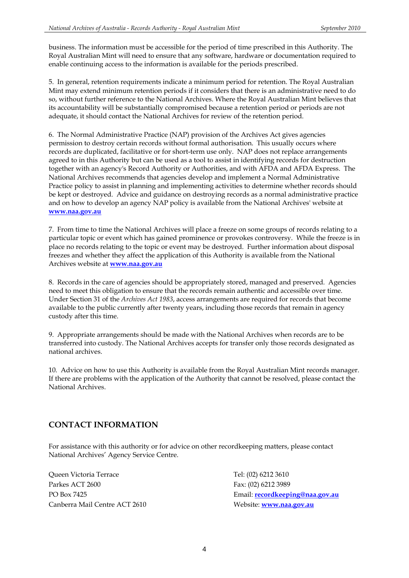business. The information must be accessible for the period of time prescribed in this Authority. The Royal Australian Mint will need to ensure that any software, hardware or documentation required to enable continuing access to the information is available for the periods prescribed.

5. In general, retention requirements indicate a minimum period for retention. The Royal Australian Mint may extend minimum retention periods if it considers that there is an administrative need to do so, without further reference to the National Archives. Where the Royal Australian Mint believes that its accountability will be substantially compromised because a retention period or periods are not adequate, it should contact the National Archives for review of the retention period.

 permission to destroy certain records without formal authorisation. This usually occurs where be kept or destroyed. Advice and guidance on destroying records as a normal administrative practice 6. The Normal Administrative Practice (NAP) provision of the Archives Act gives agencies records are duplicated, facilitative or for short-term use only. NAP does not replace arrangements agreed to in this Authority but can be used as a tool to assist in identifying records for destruction together with an agency's Record Authority or Authorities, and with AFDA and AFDA Express. The National Archives recommends that agencies develop and implement a Normal Administrative Practice policy to assist in planning and implementing activities to determine whether records should and on how to develop an agency NAP policy is available from the National Archives' website at **www.naa.gov.au** 

 place no records relating to the topic or event may be destroyed. Further information about disposal 7. From time to time the National Archives will place a freeze on some groups of records relating to a particular topic or event which has gained prominence or provokes controversy. While the freeze is in freezes and whether they affect the application of this Authority is available from the National Archives website at **www.naa.gov.au** 

 8. Records in the care of agencies should be appropriately stored, managed and preserved. Agencies need to meet this obligation to ensure that the records remain authentic and accessible over time. Under Section 31 of the *Archives Act 1983*, access arrangements are required for records that become available to the public currently after twenty years, including those records that remain in agency custody after this time.

9. Appropriate arrangements should be made with the National Archives when records are to be transferred into custody. The National Archives accepts for transfer only those records designated as national archives.

10. Advice on how to use this Authority is available from the Royal Australian Mint records manager. If there are problems with the application of the Authority that cannot be resolved, please contact the National Archives.

### **CONTACT INFORMATION**

For assistance with this authority or for advice on other recordkeeping matters, please contact National Archives' Agency Service Centre.

Queen Victoria Terrace Parkes ACT 2600 PO Box 7425 Canberra Mail Centre ACT 2610

 Fax: (02) 6212 3989 Email: **recordkeeping@naa.gov.au** Tel: (02) 6212 3610 Website: **www.naa.gov.au**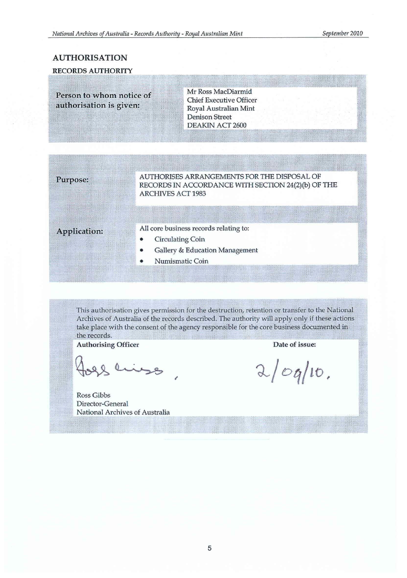### **AUTHORISATION**

#### **RECORDS AUTHORITY**

**Person to whom notice of** authorisation is given:

Mr Ross MacDiarmid **Chief Executive Officer** Royal Australian Mint **Denison Street DEAKIN ACT 2600** 

#### $Purpose:$

 $\sim$  Y;::Y;: $\sim$ AUTHORISES ARRANGEMENTS FOR THE DISPOSAL OF RECORDS IN ACCORDANCE WITH SECTION 24(2)(b) OF THE ARCHIVES ACT 1983

# <sup>~</sup>**Application:**  r

#### All core business records relating to:

- Circulating Coin
- Gallery & Education Management
- Numismatic Coin

This authorisation gives permission for the destruction, retention or transfer to the National Archives of Australia of the records described. The authority will apply only if these actions take place with the consent of the agency responsible for the core business documented in the records.

Authorising Officer

slings,

Ross Gibbs **Director-General**  National Archives of Australia

Date **of** issue:

 $2$ / $\circ$ q/10.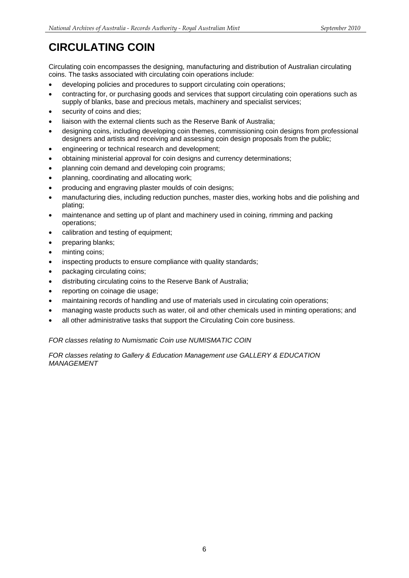## <span id="page-5-0"></span>**CIRCULATING COIN**

Circulating coin encompasses the designing, manufacturing and distribution of Australian circulating coins. The tasks associated with circulating coin operations include:

- developing policies and procedures to support circulating coin operations:
- contracting for, or purchasing goods and services that support circulating coin operations such as supply of blanks, base and precious metals, machinery and specialist services;
- security of coins and dies:
- liaison with the external clients such as the Reserve Bank of Australia:
- designing coins, including developing coin themes, commissioning coin designs from professional designers and artists and receiving and assessing coin design proposals from the public;
- engineering or technical research and development;
- obtaining ministerial approval for coin designs and currency determinations;
- planning coin demand and developing coin programs;
- planning, coordinating and allocating work;
- producing and engraving plaster moulds of coin designs;
- manufacturing dies, including reduction punches, master dies, working hobs and die polishing and plating;
- maintenance and setting up of plant and machinery used in coining, rimming and packing operations;
- calibration and testing of equipment;
- preparing blanks;
- minting coins;
- inspecting products to ensure compliance with quality standards;
- packaging circulating coins;
- distributing circulating coins to the Reserve Bank of Australia;
- reporting on coinage die usage;
- maintaining records of handling and use of materials used in circulating coin operations;
- managing waste products such as water, oil and other chemicals used in minting operations; and
- all other administrative tasks that support the Circulating Coin core business.

#### *FOR classes relating to Numismatic Coin use NUMISMATIC COIN*

*FOR classes relating to Gallery & Education Management use GALLERY & EDUCATION MANAGEMENT*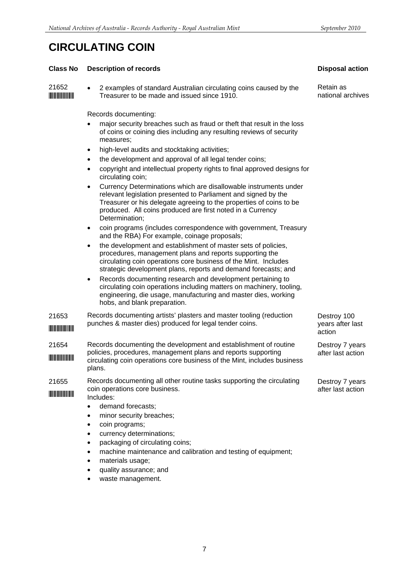## **CIRCULATING COIN**

#### **Class No Description of records**

21652 \*21652\* 2 examples of standard Australian circulating coins caused by the Treasurer to be made and issued since 1910.

Records documenting:

- major security breaches such as fraud or theft that result in the loss of coins or coining dies including any resulting reviews of security measures;
- high-level audits and stocktaking activities;
- the development and approval of all legal tender coins;
- copyright and intellectual property rights to final approved designs for circulating coin;
- Currency Determinations which are disallowable instruments under relevant legislation presented to Parliament and signed by the Treasurer or his delegate agreeing to the properties of coins to be produced. All coins produced are first noted in a Currency Determination;
- coin programs (includes correspondence with government, Treasury and the RBA) For example, coinage proposals;
- the development and establishment of master sets of policies, procedures, management plans and reports supporting the circulating coin operations core business of the Mint. Includes strategic development plans, reports and demand forecasts; and
- Records documenting research and development pertaining to circulating coin operations including matters on machinery, tooling, engineering, die usage, manufacturing and master dies, working hobs, and blank preparation.
- 21653 \*21653\* Records documenting artists' plasters and master tooling (reduction punches & master dies) produced for legal tender coins.
- 21654 \*21654\* Records documenting the development and establishment of routine policies, procedures, management plans and reports supporting circulating coin operations core business of the Mint, includes business plans.
- 21655 \*21655\* Records documenting all other routine tasks supporting the circulating coin operations core business.
- Includes:
	- demand forecasts;
	- minor security breaches;
	- coin programs;
	- currency determinations:
	- packaging of circulating coins:
	- machine maintenance and calibration and testing of equipment;
	- materials usage;
	- quality assurance; and
	- waste management.

7

#### **Disposal action**

Retain as national archives

Destroy 100 years after last action

Destroy 7 years after last action

Destroy 7 years after last action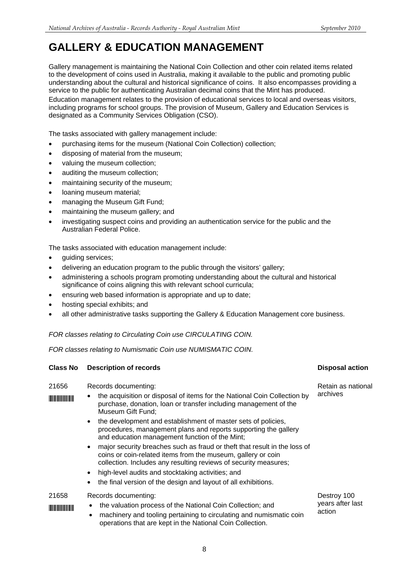## <span id="page-7-0"></span>**GALLERY & EDUCATION MANAGEMENT**

Gallery management is maintaining the National Coin Collection and other coin related items related to the development of coins used in Australia, making it available to the public and promoting public understanding about the cultural and historical significance of coins. It also encompasses providing a service to the public for authenticating Australian decimal coins that the Mint has produced. Education management relates to the provision of educational services to local and overseas visitors, including programs for school groups. The provision of Museum, Gallery and Education Services is designated as a Community Services Obligation (CSO).

The tasks associated with gallery management include:

- purchasing items for the museum (National Coin Collection) collection;
- disposing of material from the museum;
- valuing the museum collection;
- auditing the museum collection;
- maintaining security of the museum;
- loaning museum material:
- managing the Museum Gift Fund;
- maintaining the museum gallery; and
- investigating suspect coins and providing an authentication service for the public and the Australian Federal Police.

The tasks associated with education management include:

- quiding services:
- delivering an education program to the public through the visitors' gallery;
- administering a schools program promoting understanding about the cultural and historical significance of coins aligning this with relevant school curricula;
- ensuring web based information is appropriate and up to date;
- hosting special exhibits; and
- all other administrative tasks supporting the Gallery & Education Management core business.

#### *FOR classes relating to Circulating Coin use CIRCULATING COIN.*

*FOR classes relating to Numismatic Coin use NUMISMATIC COIN.* 

| 21656 | Records documenting:<br>the acquisition or disposal of items for the National Coin Collection by<br>purchase, donation, loan or transfer including management of the<br>Museum Gift Fund;                                  | Retain as national<br>archives            |
|-------|----------------------------------------------------------------------------------------------------------------------------------------------------------------------------------------------------------------------------|-------------------------------------------|
|       | the development and establishment of master sets of policies,<br>$\bullet$<br>procedures, management plans and reports supporting the gallery<br>and education management function of the Mint;                            |                                           |
|       | major security breaches such as fraud or theft that result in the loss of<br>$\bullet$<br>coins or coin-related items from the museum, gallery or coin<br>collection. Includes any resulting reviews of security measures; |                                           |
|       | high-level audits and stocktaking activities; and<br>$\bullet$                                                                                                                                                             |                                           |
|       | the final version of the design and layout of all exhibitions.<br>٠                                                                                                                                                        |                                           |
| 21658 | Records documenting:<br>the valuation process of the National Coin Collection; and<br>٠<br>machinery and tooling pertaining to circulating and numismatic coin                                                             | Destroy 100<br>years after last<br>action |

**Class No Description of records Class Action Class No Disposal action** 

operations that are kept in the National Coin Collection.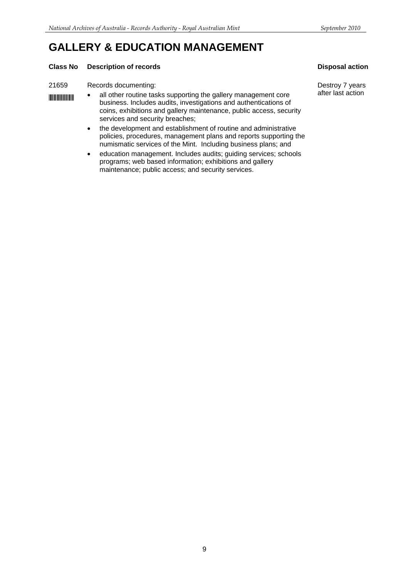## **GALLERY & EDUCATION MANAGEMENT**

#### **Class No Description of records Class Action Activity Class No Disposal action Activity Class No Disposal action**

#### 21659 Records documenting: Destroy 7 years

- 
- **EFTERN 49 THE STARK ACT ACTS ACTS ACTS** all other routine tasks supporting the gallery management core <sup>after</sup> last action<br>business. Includes audits, investigations and authentications of coins, exhibitions and gallery maintenance, public access, security services and security breaches;
	- the development and establishment of routine and administrative policies, procedures, management plans and reports supporting the numismatic services of the Mint. Including business plans; and
	- education management. Includes audits; guiding services; schools programs; web based information; exhibitions and gallery maintenance; public access; and security services.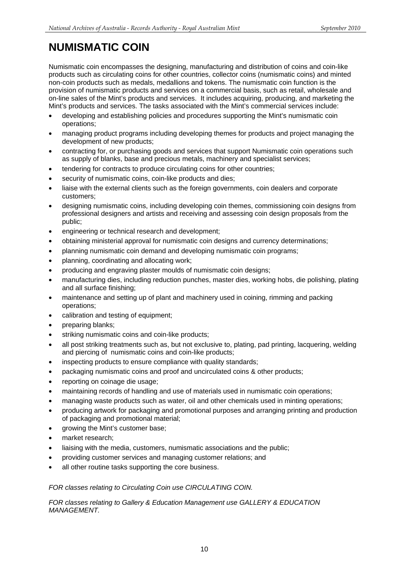## <span id="page-9-0"></span>**NUMISMATIC COIN**

Numismatic coin encompasses the designing, manufacturing and distribution of coins and coin-like products such as circulating coins for other countries, collector coins (numismatic coins) and minted non-coin products such as medals, medallions and tokens. The numismatic coin function is the provision of numismatic products and services on a commercial basis, such as retail, wholesale and on-line sales of the Mint's products and services. It includes acquiring, producing, and marketing the Mint's products and services. The tasks associated with the Mint's commercial services include:

- developing and establishing policies and procedures supporting the Mint's numismatic coin operations;
- managing product programs including developing themes for products and project managing the development of new products;
- contracting for, or purchasing goods and services that support Numismatic coin operations such as supply of blanks, base and precious metals, machinery and specialist services;
- tendering for contracts to produce circulating coins for other countries;
- security of numismatic coins, coin-like products and dies;
- liaise with the external clients such as the foreign governments, coin dealers and corporate customers;
- designing numismatic coins, including developing coin themes, commissioning coin designs from professional designers and artists and receiving and assessing coin design proposals from the public;
- engineering or technical research and development;
- obtaining ministerial approval for numismatic coin designs and currency determinations;
- planning numismatic coin demand and developing numismatic coin programs;
- planning, coordinating and allocating work;
- producing and engraving plaster moulds of numismatic coin designs;
- manufacturing dies, including reduction punches, master dies, working hobs, die polishing, plating and all surface finishing;
- maintenance and setting up of plant and machinery used in coining, rimming and packing operations;
- calibration and testing of equipment;
- preparing blanks;
- striking numismatic coins and coin-like products;
- all post striking treatments such as, but not exclusive to, plating, pad printing, lacquering, welding and piercing of numismatic coins and coin-like products;
- inspecting products to ensure compliance with quality standards;
- packaging numismatic coins and proof and uncirculated coins & other products;
- reporting on coinage die usage;
- maintaining records of handling and use of materials used in numismatic coin operations;
- managing waste products such as water, oil and other chemicals used in minting operations;
- producing artwork for packaging and promotional purposes and arranging printing and production of packaging and promotional material;
- growing the Mint's customer base;
- market research;
- liaising with the media, customers, numismatic associations and the public;
- providing customer services and managing customer relations; and
- all other routine tasks supporting the core business.

#### *FOR classes relating to Circulating Coin use CIRCULATING COIN.*

*FOR classes relating to Gallery & Education Management use GALLERY & EDUCATION MANAGEMENT.*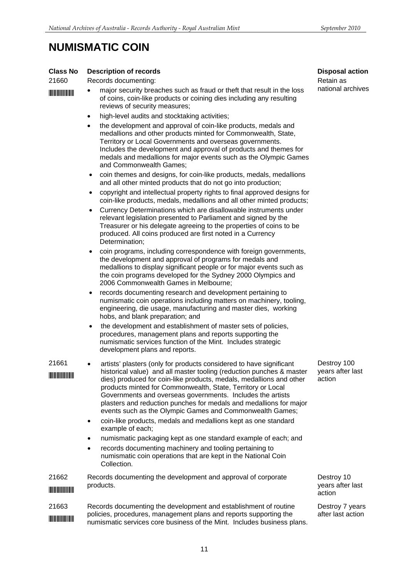## **NUMISMATIC COIN**

#### **Class No Description of records**

| 21660 | Records documenting: |
|-------|----------------------|

- **IN THEFT 10** The major security breaches such as fraud or theft that result in the loss of coins, coin-like products or coining dies including any resulting reviews of security measures;
	- high-level audits and stocktaking activities;
	- the development and approval of coin-like products, medals and medallions and other products minted for Commonwealth, State, Territory or Local Governments and overseas governments. Includes the development and approval of products and themes for medals and medallions for major events such as the Olympic Games and Commonwealth Games;
	- coin themes and designs, for coin-like products, medals, medallions and all other minted products that do not go into production;
	- copyright and intellectual property rights to final approved designs for coin-like products, medals, medallions and all other minted products;
	- Currency Determinations which are disallowable instruments under relevant legislation presented to Parliament and signed by the Treasurer or his delegate agreeing to the properties of coins to be produced. All coins produced are first noted in a Currency Determination;
	- coin programs, including correspondence with foreign governments, the development and approval of programs for medals and medallions to display significant people or for major events such as the coin programs developed for the Sydney 2000 Olympics and 2006 Commonwealth Games in Melbourne;
	- records documenting research and development pertaining to numismatic coin operations including matters on machinery, tooling, engineering, die usage, manufacturing and master dies, working hobs, and blank preparation; and
	- the development and establishment of master sets of policies, procedures, management plans and reports supporting the numismatic services function of the Mint. Includes strategic development plans and reports.

artists' plasters (only for products considered to have significant historical value) and all master tooling (reduction punches & master historical value) and all master tooling (reduction punches & master \*21661\* dies) produced for coin-like products, medals, medallions and other products minted for Commonwealth, State, Territory or Local Governments and overseas governments. Includes the artists plasters and reduction punches for medals and medallions for major events such as the Olympic Games and Commonwealth Games;

- coin-like products, medals and medallions kept as one standard example of each;
- numismatic packaging kept as one standard example of each; and
- records documenting machinery and tooling pertaining to numismatic coin operations that are kept in the National Coin Collection.

21662 Records documenting the development and approval of corporate  $\blacksquare$   $\blacksquare$   $\blacksquare$   $\blacksquare$   $\blacksquare$   $\blacksquare$   $\blacksquare$   $\blacksquare$   $\blacksquare$   $\blacksquare$   $\blacksquare$   $\blacksquare$   $\blacksquare$   $\blacksquare$   $\blacksquare$   $\blacksquare$   $\blacksquare$   $\blacksquare$   $\blacksquare$   $\blacksquare$   $\blacksquare$   $\blacksquare$   $\blacksquare$   $\blacksquare$   $\blacksquare$   $\blacksquare$   $\blacksquare$   $\blacksquare$   $\blacksquare$   $\blacksquare$   $\blacksquare$   $\blacks$ 

### 21663 Records documenting the development and establishment of routine policies, procedures, management plans and reports supporting the \*\*\* pumismatic services core business of the Mint. Includes business plans.

**Disposal action**  Retain as

national archives

Destroy 100 years after last action

Destroy 10 years after last action

Destroy 7 years after last action